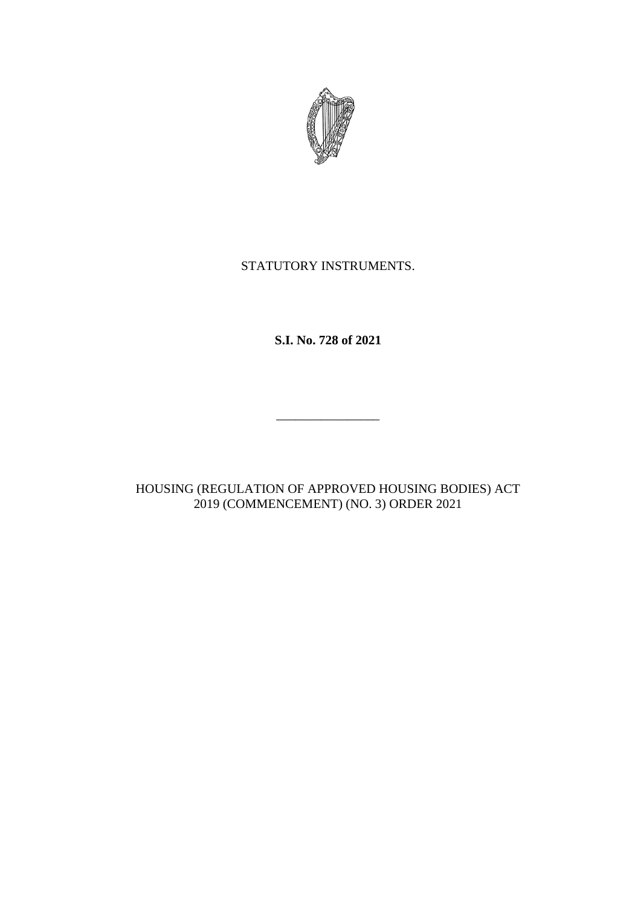

## STATUTORY INSTRUMENTS.

**S.I. No. 728 of 2021**

HOUSING (REGULATION OF APPROVED HOUSING BODIES) ACT 2019 (COMMENCEMENT) (NO. 3) ORDER 2021

\_\_\_\_\_\_\_\_\_\_\_\_\_\_\_\_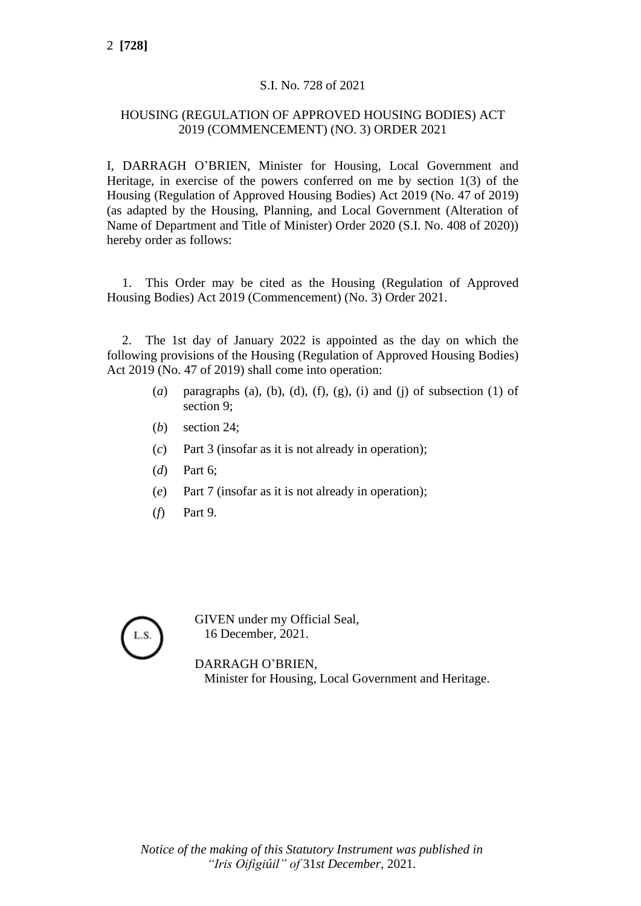## S.I. No. 728 of 2021

## HOUSING (REGULATION OF APPROVED HOUSING BODIES) ACT 2019 (COMMENCEMENT) (NO. 3) ORDER 2021

I, DARRAGH O'BRIEN, Minister for Housing, Local Government and Heritage, in exercise of the powers conferred on me by section 1(3) of the Housing (Regulation of Approved Housing Bodies) Act 2019 (No. 47 of 2019) (as adapted by the Housing, Planning, and Local Government (Alteration of Name of Department and Title of Minister) Order 2020 (S.I. No. 408 of 2020)) hereby order as follows:

1. This Order may be cited as the Housing (Regulation of Approved Housing Bodies) Act 2019 (Commencement) (No. 3) Order 2021.

2. The 1st day of January 2022 is appointed as the day on which the following provisions of the Housing (Regulation of Approved Housing Bodies) Act 2019 (No. 47 of 2019) shall come into operation:

- (*a*) paragraphs (a), (b), (d), (f), (g), (i) and (j) of subsection (1) of section 9;
- (*b*) section 24;
- (*c*) Part 3 (insofar as it is not already in operation);
- (*d*) Part 6;
- (*e*) Part 7 (insofar as it is not already in operation);
- (*f*) Part 9.

L.S.

GIVEN under my Official Seal, 16 December, 2021.

DARRAGH O'BRIEN, Minister for Housing, Local Government and Heritage.